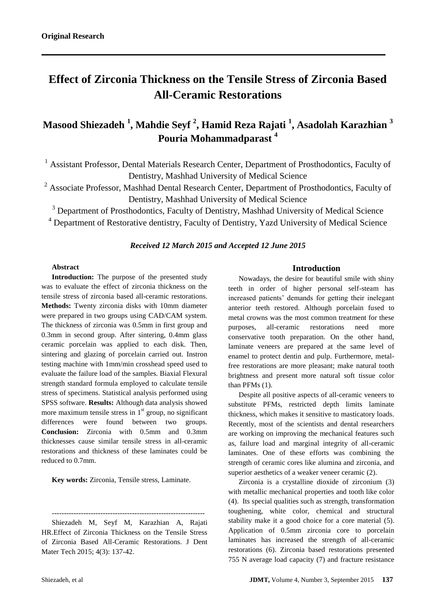# **Effect of Zirconia Thickness on the Tensile Stress of Zirconia Based All-Ceramic Restorations**

# **Masood Shiezadeh <sup>1</sup> , Mahdie Seyf <sup>2</sup> , Hamid Reza Rajati <sup>1</sup> , Asadolah Karazhian <sup>3</sup> Pouria Mohammadparast <sup>4</sup>**

<sup>1</sup> Assistant Professor, Dental Materials Research Center, Department of Prosthodontics, Faculty of Dentistry, Mashhad University of Medical Science

<sup>2</sup> Associate Professor, Mashhad Dental Research Center, Department of Prosthodontics, Faculty of Dentistry, Mashhad University of Medical Science

<sup>3</sup> Department of Prosthodontics, Faculty of Dentistry, Mashhad University of Medical Science <sup>4</sup> Department of Restorative dentistry, Faculty of Dentistry, Yazd University of Medical Science

# *Received 12 March 2015 and Accepted 12 June 2015*

#### **Abstract**

**Introduction:** The purpose of the presented study was to evaluate the effect of zirconia thickness on the tensile stress of zirconia based all-ceramic restorations. **Methods:** Twenty zirconia disks with 10mm diameter were prepared in two groups using CAD/CAM system. The thickness of zirconia was 0.5mm in first group and 0.3mm in second group. After sintering, 0.4mm glass ceramic porcelain was applied to each disk. Then, sintering and glazing of porcelain carried out. Instron testing machine with 1mm/min crosshead speed used to evaluate the failure load of the samples. Biaxial Flexural strength standard formula employed to calculate tensile stress of specimens. Statistical analysis performed using SPSS software. **Results:** Although data analysis showed more maximum tensile stress in  $1<sup>st</sup>$  group, no significant differences were found between two groups. **Conclusion:** Zirconia with 0.5mm and 0.3mm thicknesses cause similar tensile stress in all-ceramic restorations and thickness of these laminates could be reduced to 0.7mm.

**Key words:** Zirconia, Tensile stress, Laminate.

--------------------------------------------------------------- Shiezadeh M, Seyf M, Karazhian A, Rajati HR.Effect of Zirconia Thickness on the Tensile Stress of Zirconia Based All-Ceramic Restorations. J Dent Mater Tech 2015; 4(3): 137-42.

# **Introduction**

Nowadays, the desire for beautiful smile with shiny teeth in order of higher personal self-steam has increased patients' demands for getting their inelegant anterior teeth restored. Although porcelain fused to metal crowns was the most common treatment for these purposes, all-ceramic restorations need more conservative tooth preparation. On the other hand, laminate veneers are prepared at the same level of enamel to protect dentin and pulp. Furthermore, metalfree restorations are more pleasant; make natural tooth brightness and present more natural soft tissue color than PFMs (1).

Despite all positive aspects of all-ceramic veneers to substitute PFMs, restricted depth limits laminate thickness, which makes it sensitive to masticatory loads. Recently, most of the scientists and dental researchers are working on improving the mechanical features such as, failure load and marginal integrity of all-ceramic laminates. One of these efforts was combining the strength of ceramic cores like alumina and zirconia, and superior aesthetics of a weaker veneer ceramic (2).

Zirconia is a crystalline dioxide of zirconium (3) with metallic mechanical properties and tooth like color (4). Its special qualities such as strength, transformation toughening, white color, chemical and structural stability make it a good choice for a core material (5). Application of 0.5mm zirconia core to porcelain laminates has increased the strength of all-ceramic restorations (6). Zirconia based restorations presented 755 N average load capacity (7) and fracture resistance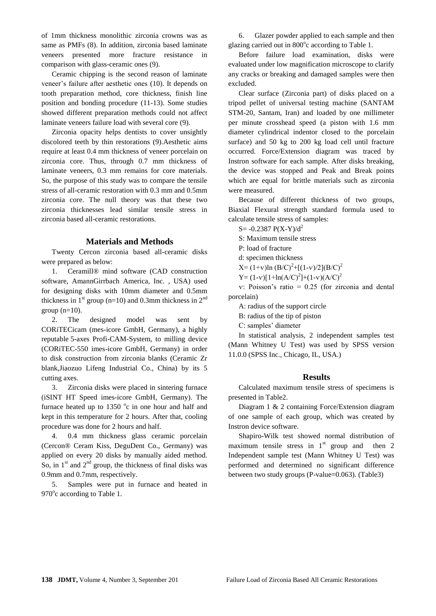of 1mm thickness monolithic zirconia crowns was as same as PMFs (8). In addition, zirconia based laminate veneers presented more fracture resistance in comparison with glass-ceramic ones (9).

Ceramic chipping is the second reason of laminate veneer's failure after aesthetic ones (10). It depends on tooth preparation method, core thickness, finish line position and bonding procedure (11-13). Some studies showed different preparation methods could not affect laminate veneers failure load with several core (9).

Zirconia opacity helps dentists to cover unsightly discolored teeth by thin restorations (9).Aesthetic aims require at least 0.4 mm thickness of veneer porcelain on zirconia core. Thus, through 0.7 mm thickness of laminate veneers, 0.3 mm remains for core materials. So, the purpose of this study was to compare the tensile stress of all-ceramic restoration with 0.3 mm and 0.5mm zirconia core. The null theory was that these two zirconia thicknesses lead similar tensile stress in zirconia based all-ceramic restorations.

#### **Materials and Methods**

Twenty Cercon zirconia based all-ceramic disks were prepared as below:

1. Ceramill® mind software (CAD construction software, AmannGirrbach America, Inc. , USA) used for designing disks with 10mm diameter and 0.5mm thickness in  $1<sup>st</sup>$  group (n=10) and 0.3mm thickness in  $2<sup>nd</sup>$ group  $(n=10)$ .

2. The designed model was sent by CORiTECicam (mes-icore GmbH, Germany), a highly reputable 5-axes Profi-CAM-System, to milling device (CORiTEC-550 imes-icore GmbH, Germany) in order to disk construction from zirconia blanks (Ceramic Zr blank,Jiaozuo Lifeng Industrial Co., China) by its 5 cutting axes.

3. Zirconia disks were placed in sintering furnace (iSINT HT Speed imes-icore GmbH, Germany). The furnace heated up to  $1350$  °c in one hour and half and kept in this temperature for 2 hours. After that, cooling procedure was done for 2 hours and half.

4. 0.4 mm thickness glass ceramic porcelain (Cercon® Ceram Kiss, DeguDent Co., Germany) was applied on every 20 disks by manually aided method. So, in  $1<sup>st</sup>$  and  $2<sup>nd</sup>$  group, the thickness of final disks was 0.9mm and 0.7mm, respectively.

5. Samples were put in furnace and heated in 970° c according to Table 1.

6. Glazer powder applied to each sample and then glazing carried out in 800°c according to Table 1.

Before failure load examination, disks were evaluated under low magnification microscope to clarify any cracks or breaking and damaged samples were then excluded.

Clear surface (Zirconia part) of disks placed on a tripod pellet of universal testing machine (SANTAM STM-20, Santam, Iran) and loaded by one millimeter per minute crosshead speed (a piston with 1.6 mm diameter cylindrical indentor closed to the porcelain surface) and 50 kg to 200 kg load cell until fracture occurred. Force/Extension diagram was traced by Instron software for each sample. After disks breaking, the device was stopped and Peak and Break points which are equal for brittle materials such as zirconia were measured.

Because of different thickness of two groups, Biaxial Flexural strength standard formula used to calculate tensile stress of samples:

 $S = -0.2387 P(X-Y)/d^2$ 

S: Maximum tensile stress

P: load of fracture

d: specimen thickness

 $X=(1+v)\ln(B/C)^{2}+[(1-v)/2](B/C)^{2}$ 

Y =  $(1-v)[1+h(A/C)^{2}]+(1-v)(A/C)^{2}$ 

ѵ: Poisson's ratio = 0.25 (for zirconia and dental porcelain)

A: radius of the support circle

B: radius of the tip of piston

C: samples' diameter

In statistical analysis, 2 independent samples test (Mann Whitney U Test) was used by SPSS version 11.0.0 (SPSS Inc., Chicago, IL, USA.)

#### **Results**

Calculated maximum tensile stress of specimens is presented in Table2.

Diagram 1 & 2 containing Force/Extension diagram of one sample of each group, which was created by Instron device software.

Shapiro-Wilk test showed normal distribution of maximum tensile stress in  $1<sup>st</sup>$  group and then 2 Independent sample test (Mann Whitney U Test) was performed and determined no significant difference between two study groups (P-value=0.063). (Table3)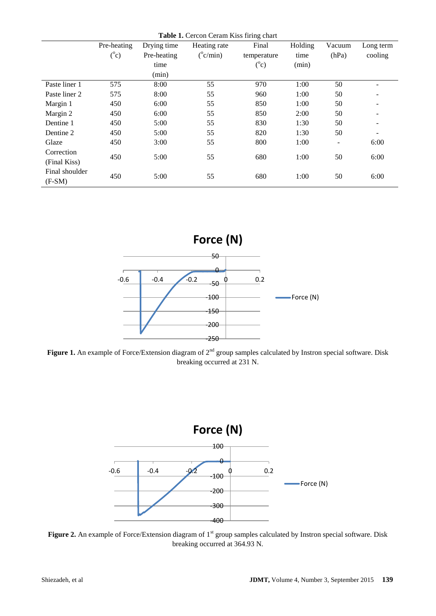| <b>Table 1.</b> Cercon Ceram Kiss firing chart |             |             |                   |             |         |        |           |  |
|------------------------------------------------|-------------|-------------|-------------------|-------------|---------|--------|-----------|--|
|                                                | Pre-heating | Drying time | Heating rate      | Final       | Holding | Vacuum | Long term |  |
|                                                | $(^0c)$     | Pre-heating | $(^{\circ}c/min)$ | temperature | time    | (hPa)  | cooling   |  |
|                                                |             | time        |                   | $(^0c)$     | (min)   |        |           |  |
|                                                |             | (min)       |                   |             |         |        |           |  |
| Paste liner 1                                  | 575         | 8:00        | 55                | 970         | 1:00    | 50     |           |  |
| Paste liner 2                                  | 575         | 8:00        | 55                | 960         | 1:00    | 50     |           |  |
| Margin 1                                       | 450         | 6:00        | 55                | 850         | 1:00    | 50     |           |  |
| Margin 2                                       | 450         | 6:00        | 55                | 850         | 2:00    | 50     | -         |  |
| Dentine 1                                      | 450         | 5:00        | 55                | 830         | 1:30    | 50     |           |  |
| Dentine 2                                      | 450         | 5:00        | 55                | 820         | 1:30    | 50     |           |  |
| Glaze                                          | 450         | 3:00        | 55                | 800         | 1:00    | Ξ.     | 6:00      |  |
| Correction                                     |             | 5:00        | 55                | 680         | 1:00    | 50     | 6:00      |  |
| (Final Kiss)                                   |             |             |                   |             |         |        |           |  |
| Final shoulder                                 | 450         | 5:00        | 55                | 680         | 1:00    | 50     | 6:00      |  |
| $(F-SM)$                                       | 450         |             |                   |             |         |        |           |  |



Figure 1. An example of Force/Extension diagram of 2<sup>nd</sup> group samples calculated by Instron special software. Disk breaking occurred at 231 N.



Figure 2. An example of Force/Extension diagram of 1<sup>st</sup> group samples calculated by Instron special software. Disk breaking occurred at 364.93 N.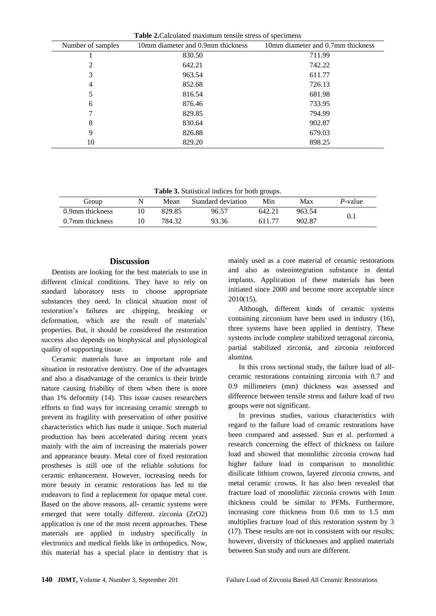| <b>rapic 2.</b> Calculated maximum tensite sucss of specificits |                                   |                                   |  |  |  |  |  |
|-----------------------------------------------------------------|-----------------------------------|-----------------------------------|--|--|--|--|--|
| Number of samples                                               | 10mm diameter and 0.9mm thickness | 10mm diameter and 0.7mm thickness |  |  |  |  |  |
|                                                                 | 830.50                            | 711.99                            |  |  |  |  |  |
| 2                                                               | 642.21                            | 742.22                            |  |  |  |  |  |
| 3                                                               | 963.54                            | 611.77                            |  |  |  |  |  |
| 4                                                               | 852.68                            | 726.13                            |  |  |  |  |  |
| 5                                                               | 816.54                            | 681.98                            |  |  |  |  |  |
| 6                                                               | 876.46                            | 733.95                            |  |  |  |  |  |
|                                                                 | 829.85                            | 794.99                            |  |  |  |  |  |
| 8                                                               | 830.64                            | 902.87                            |  |  |  |  |  |
| 9                                                               | 826.88                            | 679.03                            |  |  |  |  |  |
| 10                                                              | 829.20                            | 898.25                            |  |  |  |  |  |

**Table 2.**Calculated maximum tensile stress of specimens

**Table 3.** Statistical indices for both groups.

|                 |        |                    | ັ      |        |                 |
|-----------------|--------|--------------------|--------|--------|-----------------|
| Group           | Mean   | Standard deviation | Min    | Max    | <i>P</i> -value |
| 0.9mm thickness | 829.85 | 96.57              | 642.21 | 963.54 |                 |
| 0.7mm thickness | 784.32 | 93.36              | 61177  | 902.87 |                 |
|                 |        |                    |        |        |                 |

# **Discussion**

Dentists are looking for the best materials to use in different clinical conditions. They have to rely on standard laboratory tests to choose appropriate substances they need. In clinical situation most of restoration's failures are chipping, breaking or deformation, which are the result of materials' properties. But, it should be considered the restoration success also depends on biophysical and physiological quality of supporting tissue.

Ceramic materials have an important role and situation in restorative dentistry. One of the advantages and also a disadvantage of the ceramics is their brittle nature causing friability of them when there is more than 1% deformity (14). This issue causes researchers efforts to find ways for increasing ceramic strength to prevent its fragility with preservation of other positive characteristics which has made it unique. Such material production has been accelerated during recent years mainly with the aim of increasing the materials power and appearance beauty. Metal core of fixed restoration prostheses is still one of the reliable solutions for ceramic enhancement. However, increasing needs for more beauty in ceramic restorations has led to the endeavors to find a replacement for opaque metal core. Based on the above reasons, all- ceramic systems were emerged that were totally different. zirconia (ZrO2) application is one of the most recent approaches. These materials are applied in industry specifically in electronics and medical fields like in orthopedics. Now, this material has a special place in dentistry that is

mainly used as a core material of ceramic restorations and also as osteointegration substance in dental implants. Application of these materials has been initiated since 2000 and become more acceptable since 2010(15).

Although, different kinds of ceramic systems containing zirconium have been used in industry (16), three systems have been applied in dentistry. These systems include complete stabilized tetragonal zirconia, partial stabilized zirconia, and zirconia reinforced alumina.

In this cross sectional study, the failure load of allceramic restorations containing zirconia with 0.7 and 0.9 millimeters (mm) thickness was assessed and difference between tensile stress and failure load of two groups were not significant.

In previous studies, various characteristics with regard to the failure load of ceramic restorations have been compared and assessed. Sun et al. performed a research concerning the effect of thickness on failure load and showed that monolithic zirconia crowns had higher failure load in comparison to monolithic disilicate lithium crowns, layered zirconia crowns, and metal ceramic crowns. It has also been revealed that fracture load of monolithic zirconia crowns with 1mm thickness could be similar to PFMs. Furthermore, increasing core thickness from 0.6 mm to 1.5 mm multiplies fracture load of this restoration system by 3 (17). These results are not in consistent with our results; however, diversity of thicknesses and applied materials between Sun study and ours are different.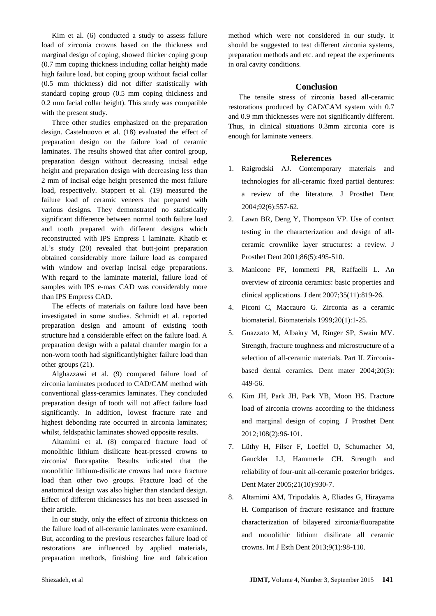Kim et al. (6) conducted a study to assess failure load of zirconia crowns based on the thickness and marginal design of coping, showed thicker coping group (0.7 mm coping thickness including collar height) made high failure load, but coping group without facial collar (0.5 mm thickness) did not differ statistically with standard coping group (0.5 mm coping thickness and 0.2 mm facial collar height). This study was compatible with the present study.

Three other studies emphasized on the preparation design. Castelnuovo et al. (18) evaluated the effect of preparation design on the failure load of ceramic laminates. The results showed that after control group, preparation design without decreasing incisal edge height and preparation design with decreasing less than 2 mm of incisal edge height presented the most failure load, respectively. Stappert et al. (19) measured the failure load of ceramic veneers that prepared with various designs. They demonstrated no statistically significant difference between normal tooth failure load and tooth prepared with different designs which reconstructed with IPS Empress 1 laminate. Khatib et al.'s study (20) revealed that butt-joint preparation obtained considerably more failure load as compared with window and overlap incisal edge preparations. With regard to the laminate material, failure load of samples with IPS e-max CAD was considerably more than IPS Empress CAD.

The effects of materials on failure load have been investigated in some studies. Schmidt et al. reported preparation design and amount of existing tooth structure had a considerable effect on the failure load. A preparation design with a palatal chamfer margin for a non-worn tooth had significantlyhigher failure load than other groups (21).

Alghazzawi et al. (9) compared failure load of zirconia laminates produced to CAD/CAM method with conventional glass-ceramics laminates. They concluded preparation design of tooth will not affect failure load significantly. In addition, lowest fracture rate and highest debonding rate occurred in zirconia laminates; whilst, feldspathic laminates showed opposite results.

Altamimi et al. (8) compared fracture load of monolithic lithium disilicate heat-pressed crowns to zirconia/ fluorapatite. Results indicated that the monolithic lithium-disilicate crowns had more fracture load than other two groups. Fracture load of the anatomical design was also higher than standard design. Effect of different thicknesses has not been assessed in their article.

In our study, only the effect of zirconia thickness on the failure load of all-ceramic laminates were examined. But, according to the previous researches failure load of restorations are influenced by applied materials, preparation methods, finishing line and fabrication method which were not considered in our study. It should be suggested to test different zirconia systems, preparation methods and etc. and repeat the experiments in oral cavity conditions.

# **Conclusion**

The tensile stress of zirconia based all-ceramic restorations produced by CAD/CAM system with 0.7 and 0.9 mm thicknesses were not significantly different. Thus, in clinical situations 0.3mm zirconia core is enough for laminate veneers.

### **References**

- 1. Raigrodski AJ. Contemporary materials and technologies for all-ceramic fixed partial dentures: a review of the literature. J Prosthet Dent 2004;92(6):557-62.
- 2. Lawn BR, Deng Y, Thompson VP. Use of contact testing in the characterization and design of allceramic crownlike layer structures: a review. J Prosthet Dent 2001;86(5):495-510.
- 3. Manicone PF, Iommetti PR, Raffaelli L. An overview of zirconia ceramics: basic properties and clinical applications. J dent 2007;35(11):819-26.
- 4. Piconi C, Maccauro G. Zirconia as a ceramic biomaterial. Biomaterials 1999;20(1):1-25.
- 5. Guazzato M, Albakry M, Ringer SP, Swain MV. Strength, fracture toughness and microstructure of a selection of all-ceramic materials. Part II. Zirconiabased dental ceramics. Dent mater 2004;20(5): 449-56.
- 6. Kim JH, Park JH, Park YB, Moon HS. Fracture load of zirconia crowns according to the thickness and marginal design of coping. J Prosthet Dent 2012;108(2):96-101.
- 7. Lüthy H, Filser F, Loeffel O, Schumacher M, Gauckler LJ, Hammerle CH. Strength and reliability of four-unit all-ceramic posterior bridges. Dent Mater 2005;21(10):930-7.
- 8. Altamimi AM, Tripodakis A, Eliades G, Hirayama H. Comparison of fracture resistance and fracture characterization of bilayered zirconia/fluorapatite and monolithic lithium disilicate all ceramic crowns. Int J Esth Dent 2013;9(1):98-110.